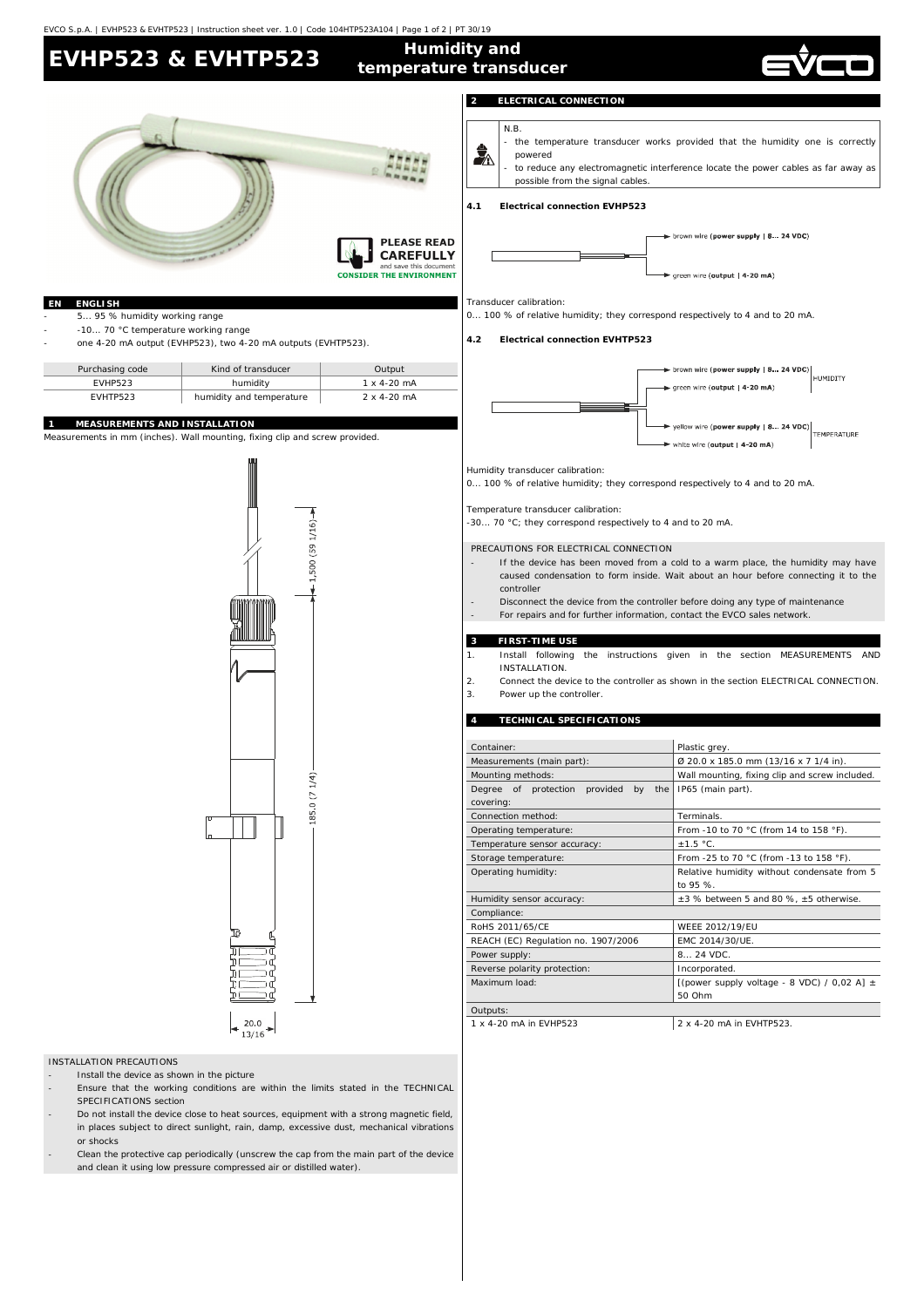

- Clean the protective cap periodically (unscrew the cap from the main part of the device and clean it using low pressure compressed air or distilled water).

EVCO S.p.A. | EVHP523 & EVHTP523 | Instruction sheet ver. 1.0 | Code 104HTP523A104 | Page 1 of 2 | PT 30/19